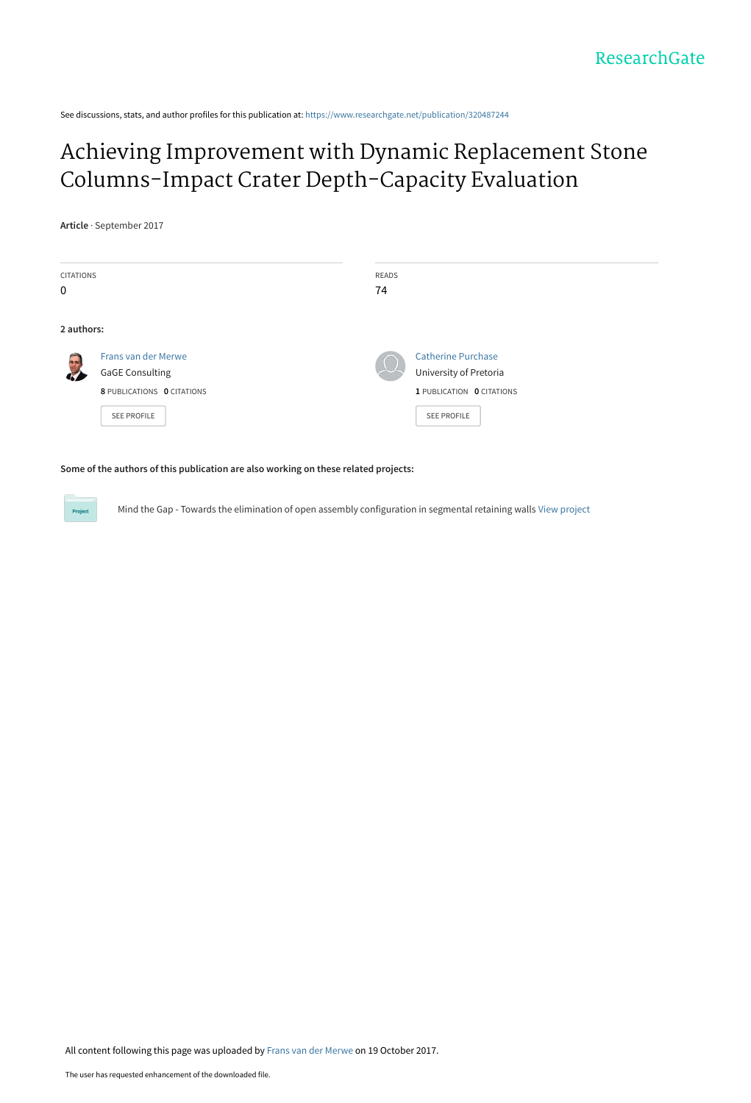See discussions, stats, and author profiles for this publication at: [https://www.researchgate.net/publication/320487244](https://www.researchgate.net/publication/320487244_Achieving_Improvement_with_Dynamic_Replacement_Stone_Columns-Impact_Crater_Depth-Capacity_Evaluation?enrichId=rgreq-4fb58e51ad3a7a2642bc7175437ddb14-XXX&enrichSource=Y292ZXJQYWdlOzMyMDQ4NzI0NDtBUzo1NTEwNDU5OTEyODg4MzJAMTUwODM5MTAxMDI4MA%3D%3D&el=1_x_2&_esc=publicationCoverPdf)

# [Achieving Improvement with Dynamic Replacement Stone](https://www.researchgate.net/publication/320487244_Achieving_Improvement_with_Dynamic_Replacement_Stone_Columns-Impact_Crater_Depth-Capacity_Evaluation?enrichId=rgreq-4fb58e51ad3a7a2642bc7175437ddb14-XXX&enrichSource=Y292ZXJQYWdlOzMyMDQ4NzI0NDtBUzo1NTEwNDU5OTEyODg4MzJAMTUwODM5MTAxMDI4MA%3D%3D&el=1_x_3&_esc=publicationCoverPdf) Columns-Impact Crater Depth-Capacity Evaluation

**Article** · September 2017

| <b>CITATIONS</b> |                            | <b>READS</b> |                           |
|------------------|----------------------------|--------------|---------------------------|
| 0                |                            | 74           |                           |
|                  |                            |              |                           |
| 2 authors:       |                            |              |                           |
|                  | Frans van der Merwe        |              | <b>Catherine Purchase</b> |
|                  | <b>GaGE Consulting</b>     |              | University of Pretoria    |
|                  | 8 PUBLICATIONS 0 CITATIONS |              | 1 PUBLICATION 0 CITATIONS |
|                  | <b>SEE PROFILE</b>         |              | <b>SEE PROFILE</b>        |
|                  |                            |              |                           |

**Some of the authors of this publication are also working on these related projects:**

Mind the Gap - Towards the elimination of open assembly configuration in segmental retaining walls [View project](https://www.researchgate.net/project/Mind-the-Gap-Towards-the-elimination-of-open-assembly-configuration-in-segmental-retaining-walls?enrichId=rgreq-4fb58e51ad3a7a2642bc7175437ddb14-XXX&enrichSource=Y292ZXJQYWdlOzMyMDQ4NzI0NDtBUzo1NTEwNDU5OTEyODg4MzJAMTUwODM5MTAxMDI4MA%3D%3D&el=1_x_9&_esc=publicationCoverPdf)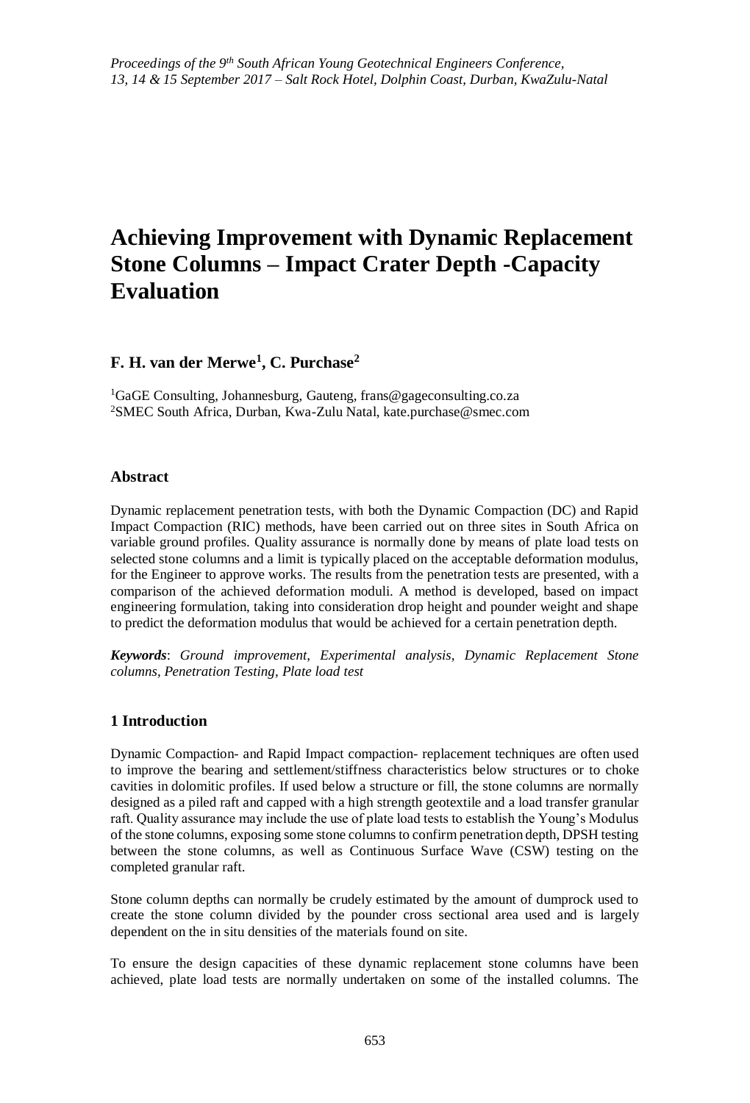# **Achieving Improvement with Dynamic Replacement Stone Columns – Impact Crater Depth -Capacity Evaluation**

# **F. H. van der Merwe<sup>1</sup> , C. Purchase<sup>2</sup>**

<sup>1</sup>GaGE Consulting, Johannesburg, Gauteng, frans@gageconsulting.co.za <sup>2</sup>SMEC South Africa, Durban, Kwa-Zulu Natal, kate.purchase@smec.com

# **Abstract**

Dynamic replacement penetration tests, with both the Dynamic Compaction (DC) and Rapid Impact Compaction (RIC) methods, have been carried out on three sites in South Africa on variable ground profiles. Quality assurance is normally done by means of plate load tests on selected stone columns and a limit is typically placed on the acceptable deformation modulus, for the Engineer to approve works. The results from the penetration tests are presented, with a comparison of the achieved deformation moduli. A method is developed, based on impact engineering formulation, taking into consideration drop height and pounder weight and shape to predict the deformation modulus that would be achieved for a certain penetration depth.

*Keywords*: *Ground improvement, Experimental analysis, Dynamic Replacement Stone columns, Penetration Testing, Plate load test* 

# **1 Introduction**

Dynamic Compaction- and Rapid Impact compaction- replacement techniques are often used to improve the bearing and settlement/stiffness characteristics below structures or to choke cavities in dolomitic profiles. If used below a structure or fill, the stone columns are normally designed as a piled raft and capped with a high strength geotextile and a load transfer granular raft. Quality assurance may include the use of plate load tests to establish the Young's Modulus of the stone columns, exposing some stone columns to confirm penetration depth, DPSH testing between the stone columns, as well as Continuous Surface Wave (CSW) testing on the completed granular raft.

Stone column depths can normally be crudely estimated by the amount of dumprock used to create the stone column divided by the pounder cross sectional area used and is largely dependent on the in situ densities of the materials found on site.

To ensure the design capacities of these dynamic replacement stone columns have been achieved, plate load tests are normally undertaken on some of the installed columns. The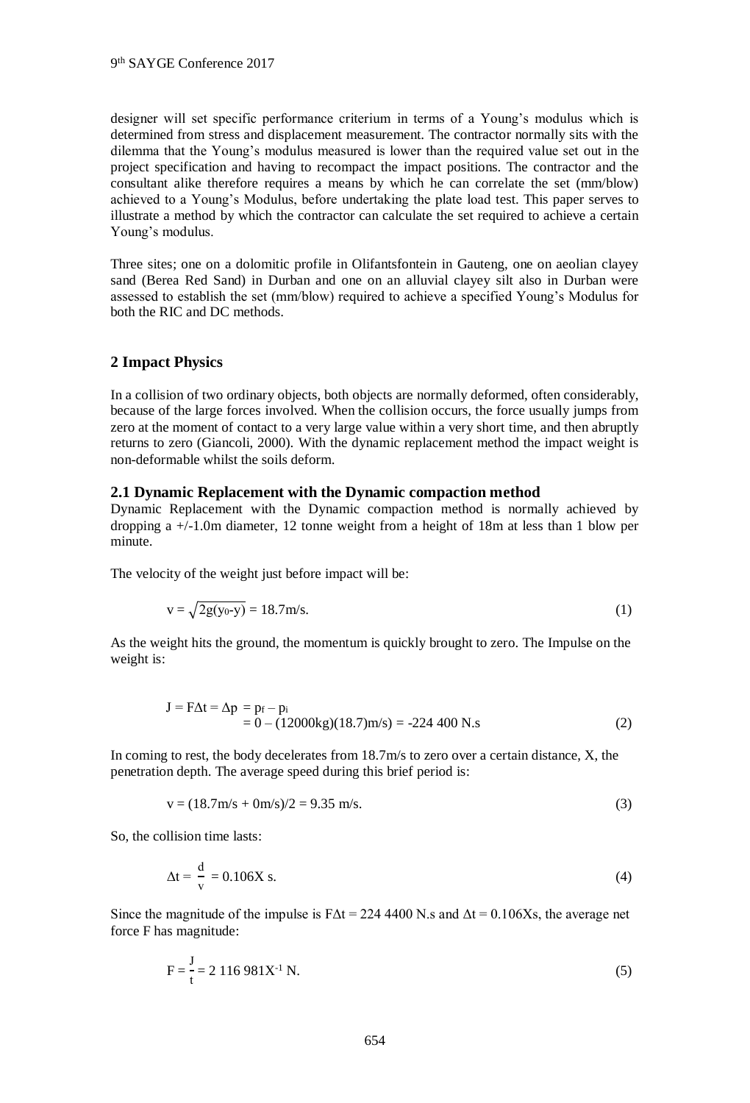designer will set specific performance criterium in terms of a Young's modulus which is determined from stress and displacement measurement. The contractor normally sits with the dilemma that the Young's modulus measured is lower than the required value set out in the project specification and having to recompact the impact positions. The contractor and the consultant alike therefore requires a means by which he can correlate the set (mm/blow) achieved to a Young's Modulus, before undertaking the plate load test. This paper serves to illustrate a method by which the contractor can calculate the set required to achieve a certain Young's modulus.

Three sites; one on a dolomitic profile in Olifantsfontein in Gauteng, one on aeolian clayey sand (Berea Red Sand) in Durban and one on an alluvial clayey silt also in Durban were assessed to establish the set (mm/blow) required to achieve a specified Young's Modulus for both the RIC and DC methods.

# **2 Impact Physics**

In a collision of two ordinary objects, both objects are normally deformed, often considerably, because of the large forces involved. When the collision occurs, the force usually jumps from zero at the moment of contact to a very large value within a very short time, and then abruptly returns to zero (Giancoli, 2000). With the dynamic replacement method the impact weight is non-deformable whilst the soils deform.

#### **2.1 Dynamic Replacement with the Dynamic compaction method**

Dynamic Replacement with the Dynamic compaction method is normally achieved by dropping a +/-1.0m diameter, 12 tonne weight from a height of 18m at less than 1 blow per minute.

The velocity of the weight just before impact will be:

$$
v = \sqrt{2g(y_0 - y)} = 18.7 \text{m/s}.
$$
 (1)

As the weight hits the ground, the momentum is quickly brought to zero. The Impulse on the weight is:

$$
J = F\Delta t = \Delta p = p_f - p_i
$$
  
= 0 - (12000kg)(18.7)m/s = -224 400 N.s (2)

In coming to rest, the body decelerates from 18.7m/s to zero over a certain distance, X, the penetration depth. The average speed during this brief period is:

$$
v = (18.7 \text{m/s} + 0 \text{m/s})/2 = 9.35 \text{ m/s}.
$$
 (3)

So, the collision time lasts:

$$
\Delta t = \frac{d}{v} = 0.106X \text{ s.}
$$
\n<sup>(4)</sup>

Since the magnitude of the impulse is  $FAt = 224\,4400$  N.s and  $\Delta t = 0.106Xs$ , the average net force F has magnitude:

$$
F = \frac{J}{t} = 2.116.981X^{-1} N. \tag{5}
$$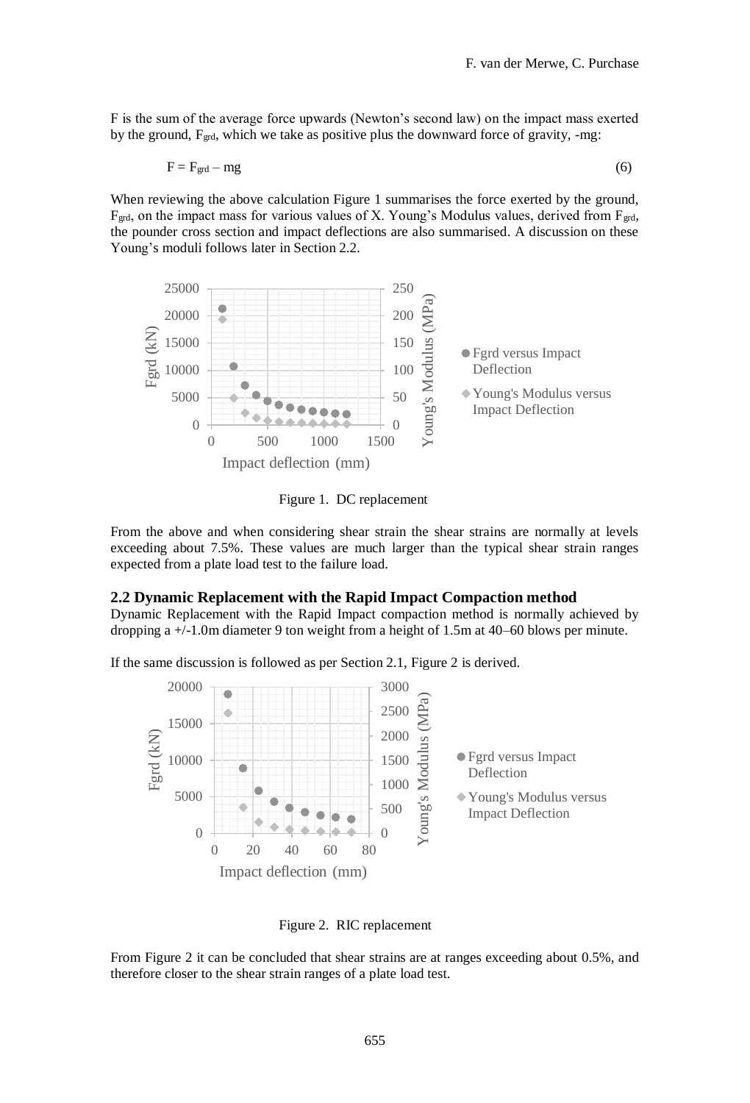F is the sum of the average force upwards (Newton's second law) on the impact mass exerted by the ground, Fgrd, which we take as positive plus the downward force of gravity, -mg:

$$
F = F_{\text{grd}} - mg \tag{6}
$$

When reviewing the above calculation Figure 1 summarises the force exerted by the ground,  $F_{\text{grd}}$ , on the impact mass for various values of X. Young's Modulus values, derived from  $F_{\text{grd}}$ , the pounder cross section and impact deflections are also summarised. A discussion on these Young's moduli follows later in Section 2.2.



Figure 1. DC replacement

From the above and when considering shear strain the shear strains are normally at levels exceeding about 7.5%. These values are much larger than the typical shear strain ranges expected from a plate load test to the failure load.

#### **2.2 Dynamic Replacement with the Rapid Impact Compaction method**

Dynamic Replacement with the Rapid Impact compaction method is normally achieved by dropping a +/-1.0m diameter 9 ton weight from a height of 1.5m at 40–60 blows per minute.

If the same discussion is followed as per Section 2.1, Figure 2 is derived.



Figure 2. RIC replacement

From Figure 2 it can be concluded that shear strains are at ranges exceeding about 0.5%, and therefore closer to the shear strain ranges of a plate load test.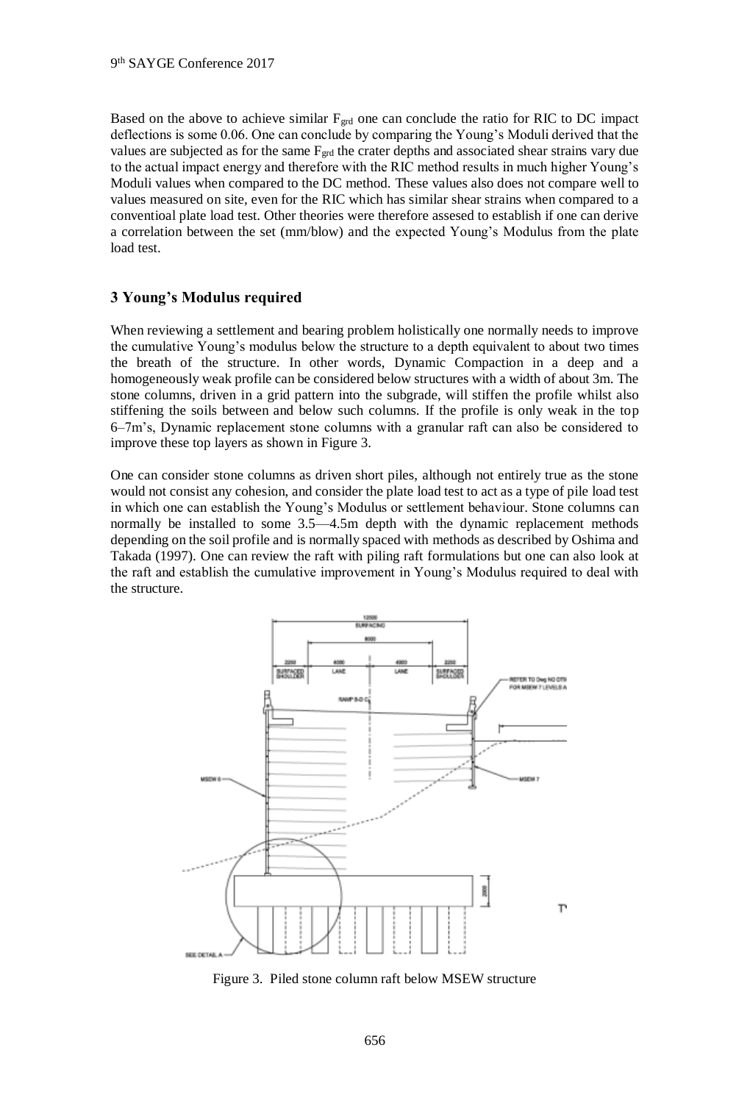Based on the above to achieve similar  $F_{\text{grd}}$  one can conclude the ratio for RIC to DC impact deflections is some 0.06. One can conclude by comparing the Young's Moduli derived that the values are subjected as for the same Fgrd the crater depths and associated shear strains vary due to the actual impact energy and therefore with the RIC method results in much higher Young's Moduli values when compared to the DC method. These values also does not compare well to values measured on site, even for the RIC which has similar shear strains when compared to a conventioal plate load test. Other theories were therefore assesed to establish if one can derive a correlation between the set (mm/blow) and the expected Young's Modulus from the plate load test.

# **3 Young's Modulus required**

When reviewing a settlement and bearing problem holistically one normally needs to improve the cumulative Young's modulus below the structure to a depth equivalent to about two times the breath of the structure. In other words, Dynamic Compaction in a deep and a homogeneously weak profile can be considered below structures with a width of about 3m. The stone columns, driven in a grid pattern into the subgrade, will stiffen the profile whilst also stiffening the soils between and below such columns. If the profile is only weak in the top 6–7m's, Dynamic replacement stone columns with a granular raft can also be considered to improve these top layers as shown in Figure 3.

One can consider stone columns as driven short piles, although not entirely true as the stone would not consist any cohesion, and consider the plate load test to act as a type of pile load test in which one can establish the Young's Modulus or settlement behaviour. Stone columns can normally be installed to some 3.5—4.5m depth with the dynamic replacement methods depending on the soil profile and is normally spaced with methods as described by Oshima and Takada (1997). One can review the raft with piling raft formulations but one can also look at the raft and establish the cumulative improvement in Young's Modulus required to deal with the structure.



Figure 3. Piled stone column raft below MSEW structure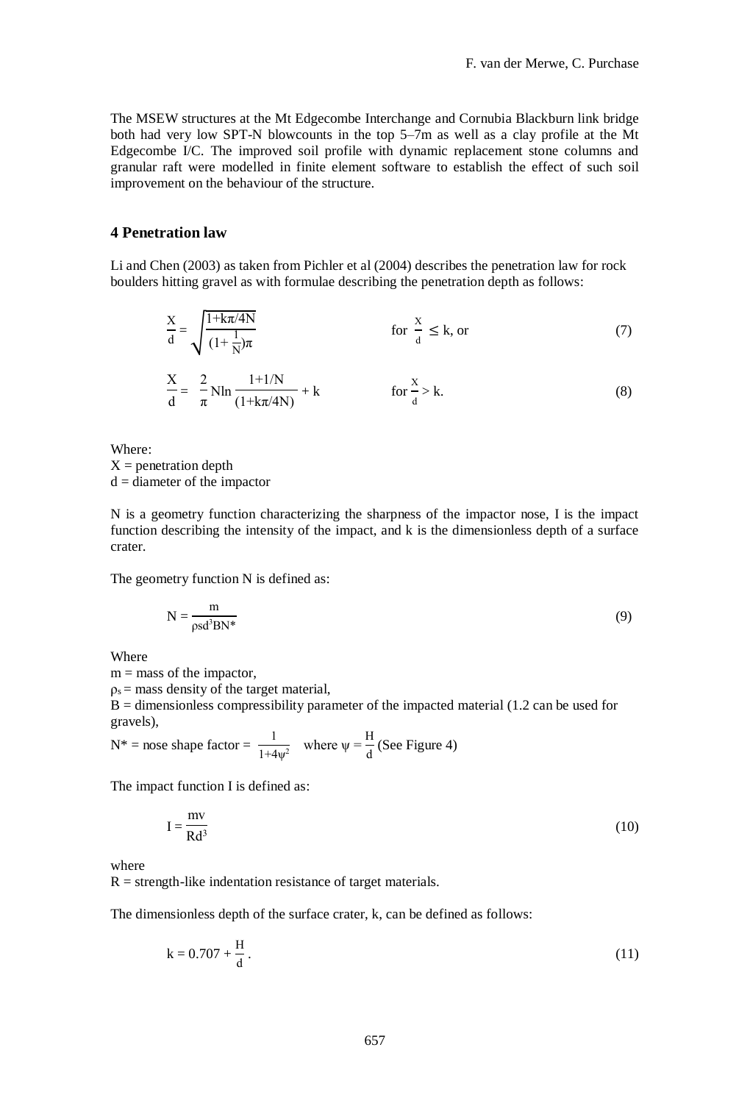The MSEW structures at the Mt Edgecombe Interchange and Cornubia Blackburn link bridge both had very low SPT-N blowcounts in the top 5–7m as well as a clay profile at the Mt Edgecombe I/C. The improved soil profile with dynamic replacement stone columns and granular raft were modelled in finite element software to establish the effect of such soil improvement on the behaviour of the structure.

#### **4 Penetration law**

Li and Chen (2003) as taken from Pichler et al (2004) describes the penetration law for rock boulders hitting gravel as with formulae describing the penetration depth as follows:

$$
\frac{X}{d} = \sqrt{\frac{1 + k\pi/4N}{\left(1 + \frac{1}{N}\right)\pi}}
$$
 for  $\frac{X}{d} \le k$ , or (7)

$$
\frac{X}{d} = -\frac{2}{\pi} N \ln \frac{1 + 1/N}{(1 + k\pi/4N)} + k \qquad \text{for } \frac{x}{d} > k.
$$
 (8)

Where:  $X =$  penetration depth  $d =$  diameter of the impactor

N is a geometry function characterizing the sharpness of the impactor nose, I is the impact function describing the intensity of the impact, and k is the dimensionless depth of a surface crater.

The geometry function N is defined as:

$$
N = \frac{m}{\rho s d^3 B N^*}
$$
 (9)

Where

 $m =$  mass of the impactor,

 $p_s$  = mass density of the target material,

 $B =$  dimensionless compressibility parameter of the impacted material (1.2 can be used for gravels),

 $N^*$  = nose shape factor =  $\frac{1}{1.4}$  $\frac{1}{1+4\psi^2}$  where  $\psi = \frac{H}{d}$  $\frac{d}{d}$  (See Figure 4)

The impact function I is defined as:

$$
I = \frac{mv}{Rd^3}
$$
 (10)

where

 $R =$  strength-like indentation resistance of target materials.

The dimensionless depth of the surface crater, k, can be defined as follows:

$$
k = 0.707 + \frac{H}{d}.
$$
 (11)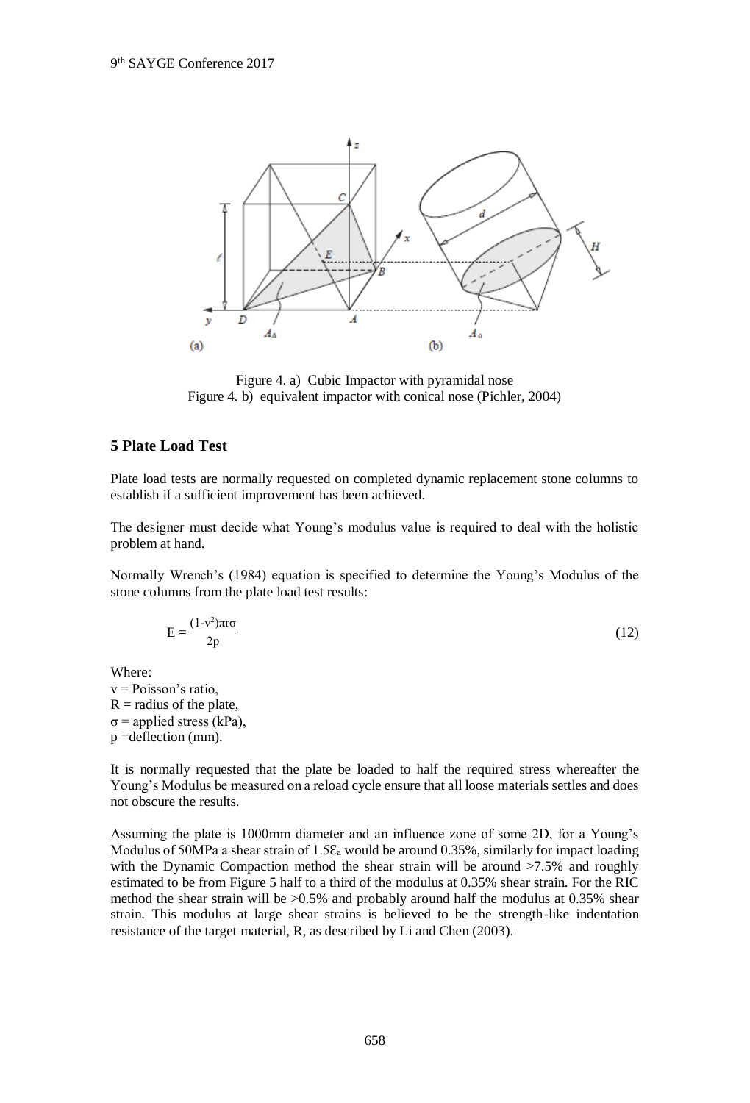

Figure 4. a) Cubic Impactor with pyramidal nose Figure 4. b) equivalent impactor with conical nose (Pichler, 2004)

# **5 Plate Load Test**

Plate load tests are normally requested on completed dynamic replacement stone columns to establish if a sufficient improvement has been achieved.

The designer must decide what Young's modulus value is required to deal with the holistic problem at hand.

Normally Wrench's (1984) equation is specified to determine the Young's Modulus of the stone columns from the plate load test results:

$$
E = \frac{(1-v^2)\pi r\sigma}{2p} \tag{12}
$$

Where:

v = Poisson's ratio,  $R$  = radius of the plate,  $\sigma$  = applied stress (kPa), p =deflection (mm).

It is normally requested that the plate be loaded to half the required stress whereafter the Young's Modulus be measured on a reload cycle ensure that all loose materials settles and does not obscure the results.

Assuming the plate is 1000mm diameter and an influence zone of some 2D, for a Young's Modulus of 50MPa a shear strain of 1.5 $\varepsilon_a$  would be around 0.35%, similarly for impact loading with the Dynamic Compaction method the shear strain will be around >7.5% and roughly estimated to be from Figure 5 half to a third of the modulus at 0.35% shear strain. For the RIC method the shear strain will be  $>0.5\%$  and probably around half the modulus at 0.35% shear strain. This modulus at large shear strains is believed to be the strength-like indentation resistance of the target material, R, as described by Li and Chen (2003).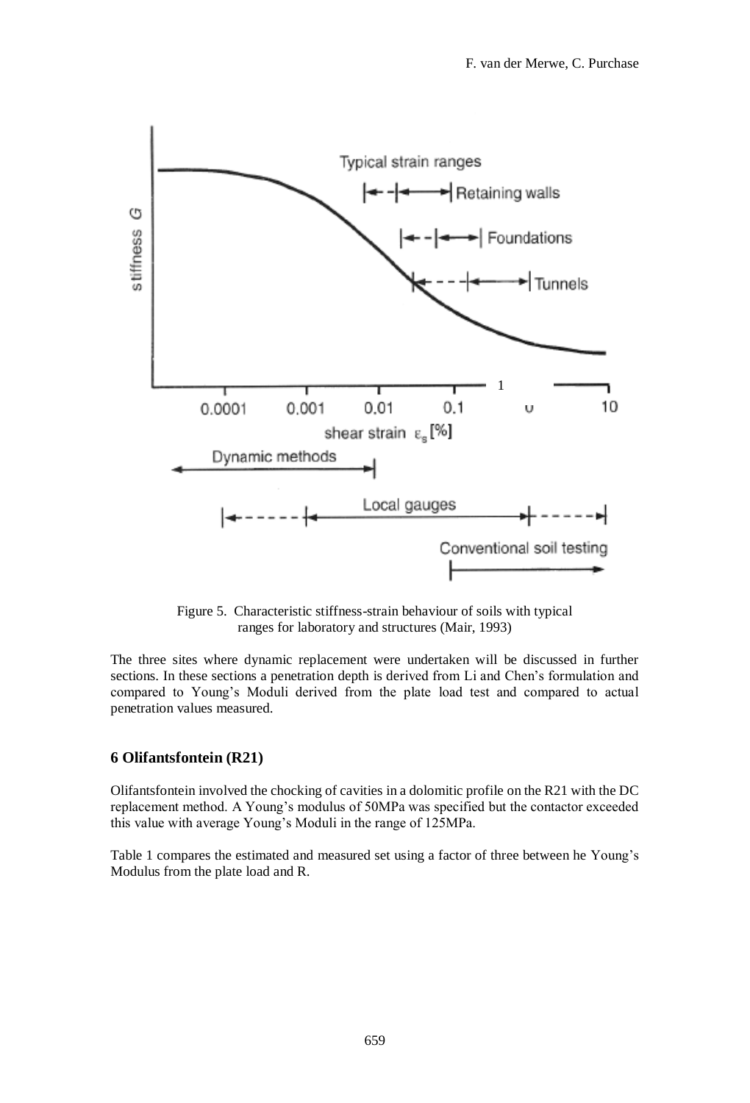

Figure 5. Characteristic stiffness-strain behaviour of soils with typical ranges for laboratory and structures (Mair, 1993)

The three sites where dynamic replacement were undertaken will be discussed in further sections. In these sections a penetration depth is derived from Li and Chen's formulation and compared to Young's Moduli derived from the plate load test and compared to actual penetration values measured.

# **6 Olifantsfontein (R21)**

Olifantsfontein involved the chocking of cavities in a dolomitic profile on the R21 with the DC replacement method. A Young's modulus of 50MPa was specified but the contactor exceeded this value with average Young's Moduli in the range of 125MPa.

Table 1 compares the estimated and measured set using a factor of three between he Young's Modulus from the plate load and R.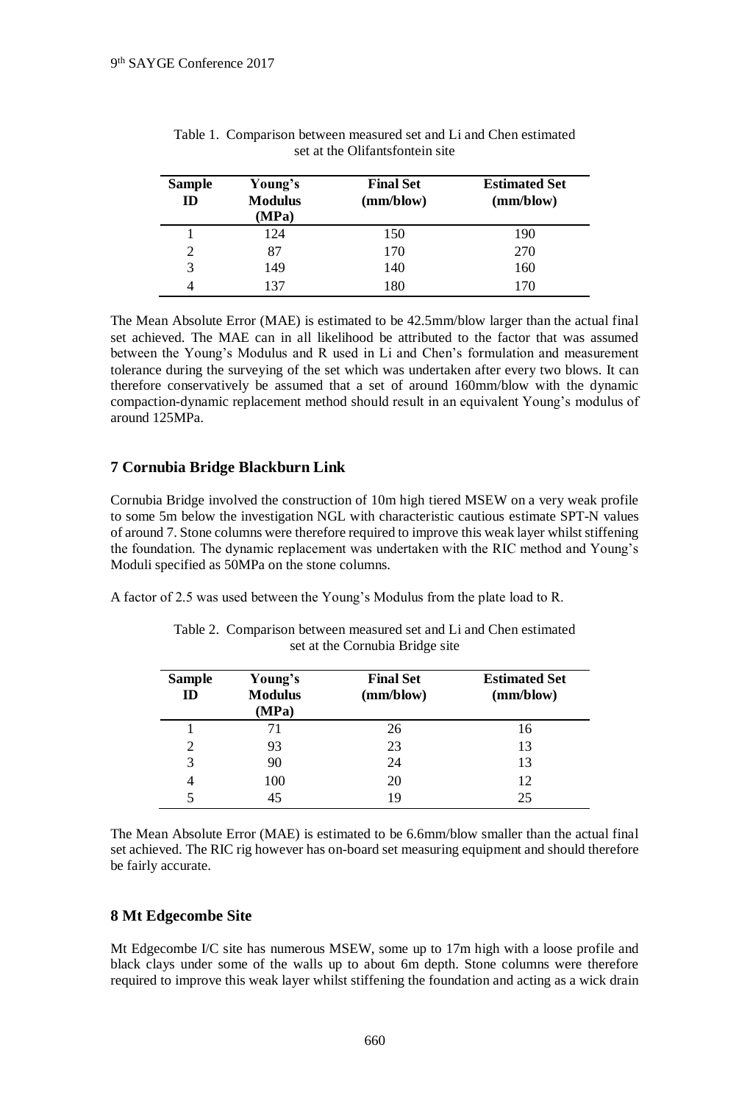| <b>Sample</b><br>ID | Young's<br><b>Modulus</b><br>(MPa) | <b>Final Set</b><br>(mm/blow) | <b>Estimated Set</b><br>(mm/blow) |
|---------------------|------------------------------------|-------------------------------|-----------------------------------|
|                     | 124                                | 150                           | 190                               |
| 2                   | 87                                 | 170                           | 270                               |
| 3                   | 149                                | 140                           | 160                               |
|                     | 137                                | 180                           |                                   |

|                                 |  | Table 1. Comparison between measured set and Li and Chen estimated |  |
|---------------------------------|--|--------------------------------------------------------------------|--|
| set at the Olifantsfontein site |  |                                                                    |  |

The Mean Absolute Error (MAE) is estimated to be 42.5mm/blow larger than the actual final set achieved. The MAE can in all likelihood be attributed to the factor that was assumed between the Young's Modulus and R used in Li and Chen's formulation and measurement tolerance during the surveying of the set which was undertaken after every two blows. It can therefore conservatively be assumed that a set of around 160mm/blow with the dynamic compaction-dynamic replacement method should result in an equivalent Young's modulus of around 125MPa.

# **7 Cornubia Bridge Blackburn Link**

Cornubia Bridge involved the construction of 10m high tiered MSEW on a very weak profile to some 5m below the investigation NGL with characteristic cautious estimate SPT-N values of around 7. Stone columns were therefore required to improve this weak layer whilst stiffening the foundation. The dynamic replacement was undertaken with the RIC method and Young's Moduli specified as 50MPa on the stone columns.

A factor of 2.5 was used between the Young's Modulus from the plate load to R.

| <b>Sample</b><br>ID | Young's<br><b>Modulus</b><br>(MPa) | <b>Final Set</b><br>(mm/blow) | <b>Estimated Set</b><br>(mm/blow) |
|---------------------|------------------------------------|-------------------------------|-----------------------------------|
|                     | 71                                 | 26                            | 16                                |
| 2                   | 93                                 | 23                            | 13                                |
| 3                   | 90                                 | 24                            | 13                                |
| $\overline{4}$      | 100                                | 20                            | 12                                |
|                     | 45                                 | 19                            | 25                                |

Table 2. Comparison between measured set and Li and Chen estimated set at the Cornubia Bridge site

The Mean Absolute Error (MAE) is estimated to be 6.6mm/blow smaller than the actual final set achieved. The RIC rig however has on-board set measuring equipment and should therefore be fairly accurate.

#### **8 Mt Edgecombe Site**

Mt Edgecombe I/C site has numerous MSEW, some up to 17m high with a loose profile and black clays under some of the walls up to about 6m depth. Stone columns were therefore required to improve this weak layer whilst stiffening the foundation and acting as a wick drain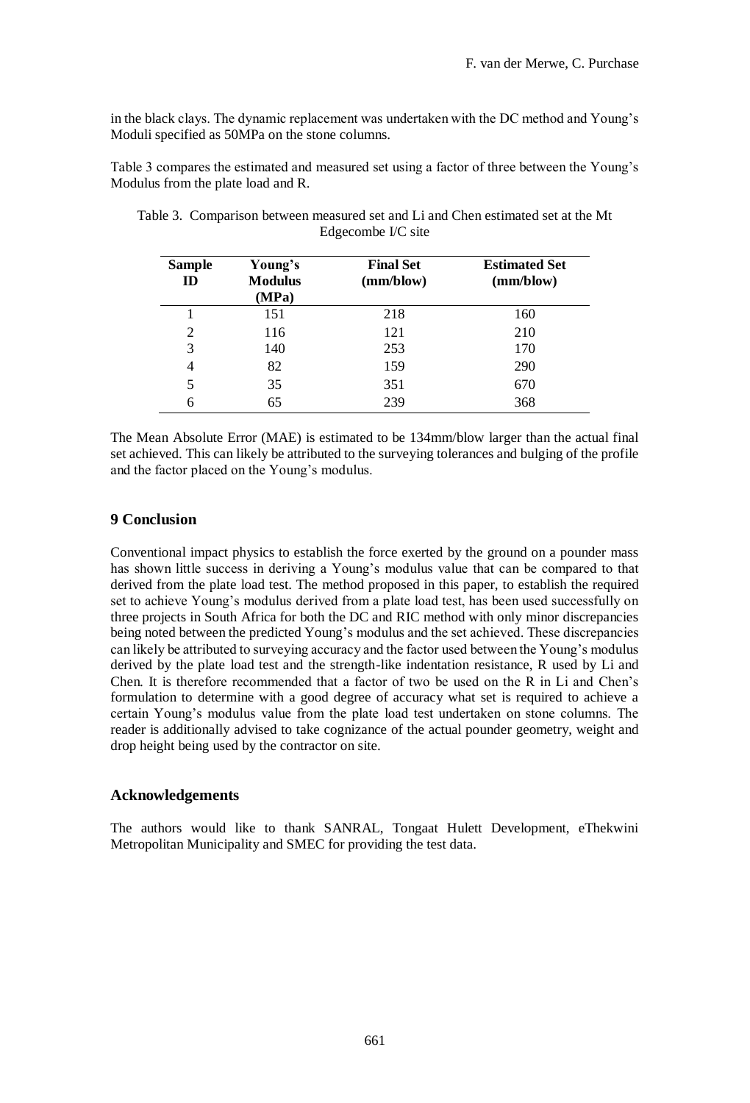in the black clays. The dynamic replacement was undertaken with the DC method and Young's Moduli specified as 50MPa on the stone columns.

Table 3 compares the estimated and measured set using a factor of three between the Young's Modulus from the plate load and R.

| <b>Sample</b><br>ID | Young's<br><b>Modulus</b><br>(MPa) | <b>Final Set</b><br>(mm/blow) | <b>Estimated Set</b><br>(mm/blow) |
|---------------------|------------------------------------|-------------------------------|-----------------------------------|
|                     | 151                                | 218                           | 160                               |
| $\overline{2}$      | 116                                | 121                           | 210                               |
| 3                   | 140                                | 253                           | 170                               |
| 4                   | 82                                 | 159                           | 290                               |
| 5                   | 35                                 | 351                           | 670                               |
| 6                   | 65                                 | 239                           | 368                               |

Table 3. Comparison between measured set and Li and Chen estimated set at the Mt Edgecombe I/C site

The Mean Absolute Error (MAE) is estimated to be 134mm/blow larger than the actual final set achieved. This can likely be attributed to the surveying tolerances and bulging of the profile and the factor placed on the Young's modulus.

# **9 Conclusion**

Conventional impact physics to establish the force exerted by the ground on a pounder mass has shown little success in deriving a Young's modulus value that can be compared to that derived from the plate load test. The method proposed in this paper, to establish the required set to achieve Young's modulus derived from a plate load test, has been used successfully on three projects in South Africa for both the DC and RIC method with only minor discrepancies being noted between the predicted Young's modulus and the set achieved. These discrepancies can likely be attributed to surveying accuracy and the factor used between the Young's modulus derived by the plate load test and the strength-like indentation resistance, R used by Li and Chen. It is therefore recommended that a factor of two be used on the R in Li and Chen's formulation to determine with a good degree of accuracy what set is required to achieve a certain Young's modulus value from the plate load test undertaken on stone columns. The reader is additionally advised to take cognizance of the actual pounder geometry, weight and drop height being used by the contractor on site.

#### **Acknowledgements**

The authors would like to thank SANRAL, Tongaat Hulett Development, eThekwini Metropolitan Municipality and SMEC for providing the test data.